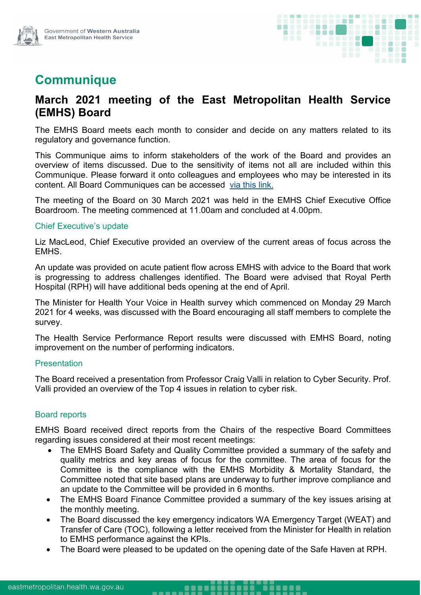

# **Communique**

# **March 2021 meeting of the East Metropolitan Health Service (EMHS) Board**

The EMHS Board meets each month to consider and decide on any matters related to its regulatory and governance function.

This Communique aims to inform stakeholders of the work of the Board and provides an overview of items discussed. Due to the sensitivity of items not all are included within this Communique. Please forward it onto colleagues and employees who may be interested in its content. All Board Communiques can be accessed [via this link.](https://emhs.health.wa.gov.au/About-Us/Health-Service-Board)

The meeting of the Board on 30 March 2021 was held in the EMHS Chief Executive Office Boardroom. The meeting commenced at 11.00am and concluded at 4.00pm.

#### Chief Executive's update

Liz MacLeod, Chief Executive provided an overview of the current areas of focus across the EMHS.

An update was provided on acute patient flow across EMHS with advice to the Board that work is progressing to address challenges identified. The Board were advised that Royal Perth Hospital (RPH) will have additional beds opening at the end of April.

The Minister for Health Your Voice in Health survey which commenced on Monday 29 March 2021 for 4 weeks, was discussed with the Board encouraging all staff members to complete the survey.

The Health Service Performance Report results were discussed with EMHS Board, noting improvement on the number of performing indicators.

#### **Presentation**

The Board received a presentation from Professor Craig Valli in relation to Cyber Security. Prof. Valli provided an overview of the Top 4 issues in relation to cyber risk.

### Board reports

EMHS Board received direct reports from the Chairs of the respective Board Committees regarding issues considered at their most recent meetings:

- The EMHS Board Safety and Quality Committee provided a summary of the safety and quality metrics and key areas of focus for the committee. The area of focus for the Committee is the compliance with the EMHS Morbidity & Mortality Standard, the Committee noted that site based plans are underway to further improve compliance and an update to the Committee will be provided in 6 months.
- The EMHS Board Finance Committee provided a summary of the key issues arising at the monthly meeting.
- The Board discussed the key emergency indicators WA Emergency Target (WEAT) and Transfer of Care (TOC), following a letter received from the Minister for Health in relation to EMHS performance against the KPIs.
- The Board were pleased to be updated on the opening date of the Safe Haven at RPH.

<u>999099</u>

----